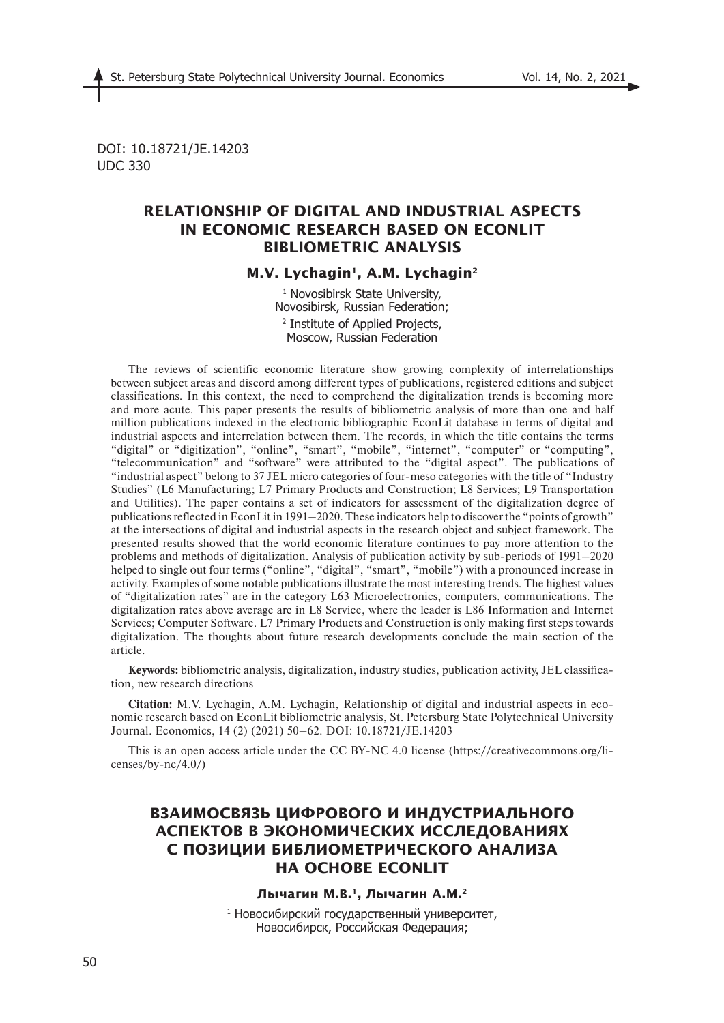DOI: 10.18721/JE.14203 UDC 330

# **RELATIONSHIP OF DIGITAL AND INDUSTRIAL ASPECTS IN ECONOMIC RESEARCH BASED ON ECONLIT BIBLIOMETRIC ANALYSIS**

### M.V. Lychagin<sup>1</sup>, A.M. Lychagin<sup>2</sup>

1 Novosibirsk State University, Novosibirsk, Russian Federation; 2 Institute of Applied Projects, Moscow, Russian Federation

The reviews of scientific economic literature show growing complexity of interrelationships between subject areas and discord among different types of publications, registered editions and subject classifications. In this context, the need to comprehend the digitalization trends is becoming more and more acute. This paper presents the results of bibliometric analysis of more than one and half million publications indexed in the electronic bibliographic EconLit database in terms of digital and industrial aspects and interrelation between them. The records, in which the title contains the terms "digital" or "digitization", "online", "smart", "mobile", "internet", "computer" or "computing", "telecommunication" and "software" were attributed to the "digital aspect". The publications of "industrial aspect" belong to 37 JEL micro categories of four-meso categories with the title of "Industry Studies" (L6 Manufacturing; L7 Primary Products and Construction; L8 Services; L9 Transportation and Utilities). The paper contains a set of indicators for assessment of the digitalization degree of publications reflected in EconLit in 1991–2020. These indicators help to discover the "points of growth" at the intersections of digital and industrial aspects in the research object and subject framework. The presented results showed that the world economic literature continues to pay more attention to the problems and methods of digitalization. Analysis of publication activity by sub-periods of 1991–2020 helped to single out four terms ("online", "digital", "smart", "mobile") with a pronounced increase in activity. Examples of some notable publications illustrate the most interesting trends. The highest values of "digitalization rates" are in the category L63 Microelectronics, computers, communications. The digitalization rates above average are in L8 Service, where the leader is L86 Information and Internet Services; Computer Software. L7 Primary Products and Construction is only making first steps towards digitalization. The thoughts about future research developments conclude the main section of the article.

**Keywords:** bibliometric analysis, digitalization, industry studies, publication activity, JEL classification, new research directions

**Citation:** M.V. Lychagin, A.M. Lychagin, Relationship of digital and industrial aspects in economic research based on EconLit bibliometric analysis, St. Petersburg State Polytechnical University Journal. Economics, 14 (2) (2021) 50–62. DOI: 10.18721/JE.14203

This is an open access article under the CC BY-NC 4.0 license (https://creativecommons.org/licenses/by- $nc/4.0/$ )

# **ВЗАИМОСВЯЗЬ ЦИФРОВОГО И ИНДУСТРИАЛЬНОГО АСПЕКТОВ В ЭКОНОМИЧЕСКИХ ИССЛЕДОВАНИЯХ С ПОЗИЦИИ БИБЛИОМЕТРИЧЕСКОГО АНАЛИЗА НА ОСНОВЕ ECONLIT**

### **Лычагин М.В.1, Лычагин А.М.2**

1 Новосибирский государственный университет, Новосибирск, Российская Федерация;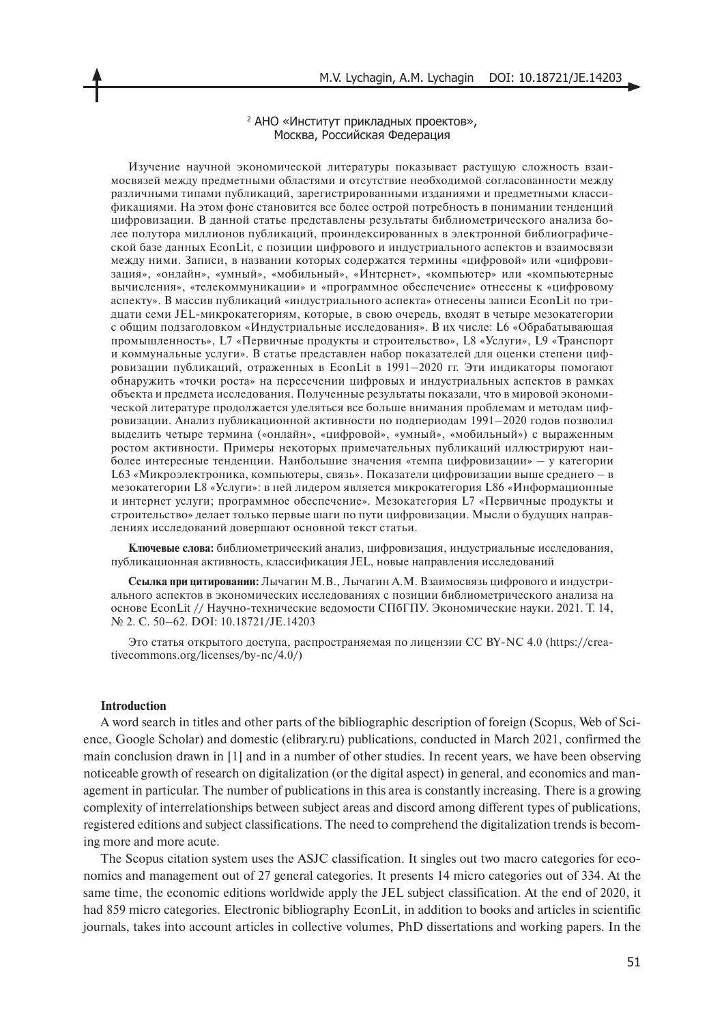#### 2 АНО «Институт прикладных проектов», Москва, Российская Федерация

Изучение научной экономической литературы показывает растущую сложность взаимосвязей между предметными областями и отсутствие необходимой согласованности между различными типами публикаций, зарегистрированными изданиями и предметными классификациями. На этом фоне становится все более острой потребность в понимании тенденций цифровизации. В данной статье представлены результаты библиометрического анализа более полутора миллионов публикаций, проиндексированных в электронной библиографической базе данных EconLit, с позиции цифрового и индустриального аспектов и взаимосвязи между ними. Записи, в названии которых содержатся термины «цифровой» или «цифровизация», «онлайн», «умный», «мобильный», «Интернет», «компьютер» или «компьютерные вычисления», «телекоммуникации» и «программное обеспечение» отнесены к «цифровому аспекту». В массив публикаций «индустриального аспекта» отнесены записи EconLit по тридцати семи JEL-микрокатегориям, которые, в свою очередь, входят в четыре мезокатегории с общим подзаголовком «Индустриальные исследования». В их числе: L6 «Обрабатывающая промышленность», L7 «Первичные продукты и строительство», L8 «Услуги», L9 «Транспорт и коммунальные услуги». В статье представлен набор показателей для оценки степени цифровизации публикаций, отраженных в EconLit в 1991–2020 гг. Эти индикаторы помогают обнаружить «точки роста» на пересечении цифровых и индустриальных аспектов в рамках объекта и предмета исследования. Полученные результаты показали, что в мировой экономической литературе продолжается уделяться все больше внимания проблемам и методам цифровизации. Анализ публикационной активности по подпериодам 1991–2020 годов позволил выделить четыре термина («онлайн», «цифровой», «умный», «мобильный») с выраженным ростом активности. Примеры некоторых примечательных публикаций иллюстрируют наиболее интересные тенденции. Наибольшие значения «темпа цифровизации» – у категории L63 «Микроэлектроника, компьютеры, связь». Показатели цифровизации выше среднего – в мезокатегории L8 «Услуги»: в ней лидером является микрокатегория L86 «Информационные и интернет услуги; программное обеспечение». Мезокатегория L7 «Первичные продукты и строительство» делает только первые шаги по пути цифровизации. Мысли о будущих направлениях исследований довершают основной текст статьи.

**Ключевые слова:** библиометрический анализ, цифровизация, индустриальные исследования, публикационная активность, классификация JEL, новые направления исследований

**Ссылка при цитировании:** Лычагин М.В., Лычагин А.М. Взаимосвязь цифрового и индустриального аспектов в экономических исследованиях с позиции библиометрического анализа на основе EconLit // Научно-технические ведомости СПбГПУ. Экономические науки. 2021. Т. 14, № 2. С. 50-62. DOI: 10.18721/JE.14203

Это статья открытого доступа, распространяемая по лицензии CC BY-NC 4.0 (https://creativecommons.org/licenses/by-nc/4.0/)

#### **Introduction**

A word search in titles and other parts of the bibliographic description of foreign (Scopus, Web of Science, Google Scholar) and domestic (elibrary.ru) publications, conducted in March 2021, confirmed the main conclusion drawn in [1] and in a number of other studies. In recent years, we have been observing noticeable growth of research on digitalization (or the digital aspect) in general, and economics and management in particular. The number of publications in this area is constantly increasing. There is a growing complexity of interrelationships between subject areas and discord among different types of publications, registered editions and subject classifications. The need to comprehend the digitalization trends is becoming more and more acute.

The Scopus citation system uses the ASJC classification. It singles out two macro categories for economics and management out of 27 general categories. It presents 14 micro categories out of 334. At the same time, the economic editions worldwide apply the JEL subject classification. At the end of 2020, it had 859 micro categories. Electronic bibliography EconLit, in addition to books and articles in scientific journals, takes into account articles in collective volumes, PhD dissertations and working papers. In the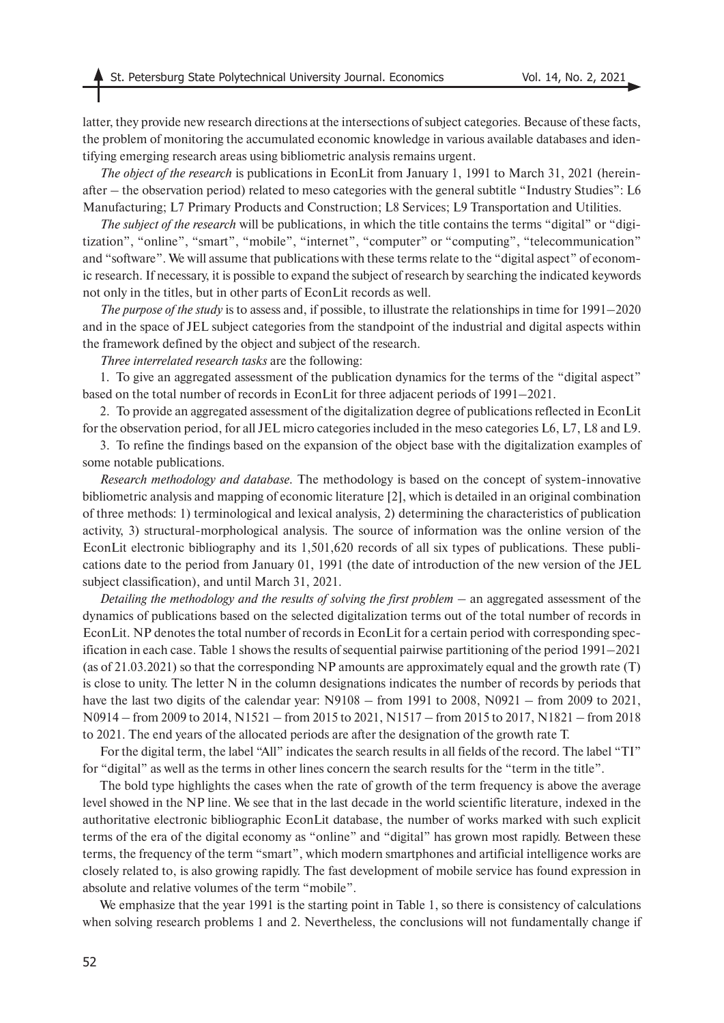latter, they provide new research directions at the intersections of subject categories. Because of these facts, the problem of monitoring the accumulated economic knowledge in various available databases and identifying emerging research areas using bibliometric analysis remains urgent.

*The object of the research* is publications in EconLit from January 1, 1991 to March 31, 2021 (hereinafter – the observation period) related to meso categories with the general subtitle "Industry Studies": L6 Manufacturing; L7 Primary Products and Construction; L8 Services; L9 Transportation and Utilities.

*The subject of the research* will be publications, in which the title contains the terms "digital" or "digitization", "online", "smart", "mobile", "internet", "computer" or "computing", "telecommunication" and "software". We will assume that publications with these terms relate to the "digital aspect" of economic research. If necessary, it is possible to expand the subject of research by searching the indicated keywords not only in the titles, but in other parts of EconLit records as well.

*The purpose of the study* is to assess and, if possible, to illustrate the relationships in time for 1991–2020 and in the space of JEL subject categories from the standpoint of the industrial and digital aspects within the framework defined by the object and subject of the research.

*Three interrelated research tasks* are the following:

1. To give an aggregated assessment of the publication dynamics for the terms of the "digital aspect" based on the total number of records in EconLit for three adjacent periods of 1991–2021.

2. To provide an aggregated assessment of the digitalization degree of publications reflected in EconLit for the observation period, for all JEL micro categories included in the meso categories L6, L7, L8 and L9.

3. To refine the findings based on the expansion of the object base with the digitalization examples of some notable publications.

*Research methodology and database.* The methodology is based on the concept of system-innovative bibliometric analysis and mapping of economic literature [2], which is detailed in an original combination of three methods: 1) terminological and lexical analysis, 2) determining the characteristics of publication activity, 3) structural-morphological analysis. The source of information was the online version of the EconLit electronic bibliography and its 1,501,620 records of all six types of publications. These publications date to the period from January 01, 1991 (the date of introduction of the new version of the JEL subject classification), and until March 31, 2021.

*Detailing the methodology and the results of solving the first problem* – an aggregated assessment of the dynamics of publications based on the selected digitalization terms out of the total number of records in EconLit. NP denotes the total number of records in EconLit for a certain period with corresponding specification in each case. Table 1 shows the results of sequential pairwise partitioning of the period 1991–2021 (as of 21.03.2021) so that the corresponding NP amounts are approximately equal and the growth rate (T) is close to unity. The letter N in the column designations indicates the number of records by periods that have the last two digits of the calendar year: N9108 – from 1991 to 2008, N0921 – from 2009 to 2021, N0914 – from 2009 to 2014, N1521 – from 2015 to 2021, N1517 – from 2015 to 2017, N1821 – from 2018 to 2021. The end years of the allocated periods are after the designation of the growth rate T.

For the digital term, the label "All" indicates the search results in all fields of the record. The label "TI" for "digital" as well as the terms in other lines concern the search results for the "term in the title".

The bold type highlights the cases when the rate of growth of the term frequency is above the average level showed in the NP line. We see that in the last decade in the world scientific literature, indexed in the authoritative electronic bibliographic EconLit database, the number of works marked with such explicit terms of the era of the digital economy as "online" and "digital" has grown most rapidly. Between these terms, the frequency of the term "smart", which modern smartphones and artificial intelligence works are closely related to, is also growing rapidly. The fast development of mobile service has found expression in absolute and relative volumes of the term "mobile".

We emphasize that the year 1991 is the starting point in Table 1, so there is consistency of calculations when solving research problems 1 and 2. Nevertheless, the conclusions will not fundamentally change if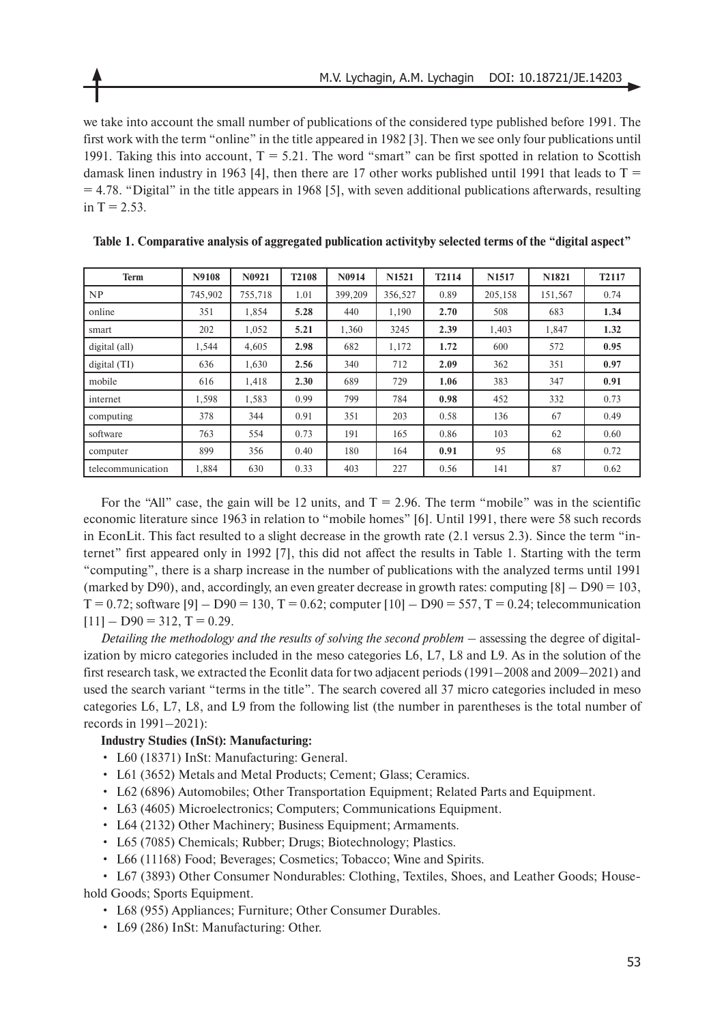we take into account the small number of publications of the considered type published before 1991. The first work with the term "online" in the title appeared in 1982 [3]. Then we see only four publications until 1991. Taking this into account,  $T = 5.21$ . The word "smart" can be first spotted in relation to Scottish damask linen industry in 1963 [4], then there are 17 other works published until 1991 that leads to  $T =$  $= 4.78$ . "Digital" in the title appears in 1968 [5], with seven additional publications afterwards, resulting in  $T = 2.53$ .

| <b>Term</b>       | N9108   | N0921   | T <sub>2108</sub> | N0914   | N <sub>1521</sub> | T2114 | N <sub>1517</sub> | N1821   | T2117 |
|-------------------|---------|---------|-------------------|---------|-------------------|-------|-------------------|---------|-------|
| NP                | 745,902 | 755,718 | 1.01              | 399,209 | 356,527           | 0.89  | 205,158           | 151,567 | 0.74  |
| online            | 351     | 1,854   | 5.28              | 440     | 1,190             | 2.70  | 508               | 683     | 1.34  |
| smart             | 202     | 1.052   | 5.21              | 1,360   | 3245              | 2.39  | 1,403             | 1,847   | 1.32  |
| digital (all)     | 1,544   | 4,605   | 2.98              | 682     | 1,172             | 1.72  | 600               | 572     | 0.95  |
| digital(TI)       | 636     | 1,630   | 2.56              | 340     | 712               | 2.09  | 362               | 351     | 0.97  |
| mobile            | 616     | 1,418   | 2.30              | 689     | 729               | 1.06  | 383               | 347     | 0.91  |
| internet          | 1,598   | 1,583   | 0.99              | 799     | 784               | 0.98  | 452               | 332     | 0.73  |
| computing         | 378     | 344     | 0.91              | 351     | 203               | 0.58  | 136               | 67      | 0.49  |
| software          | 763     | 554     | 0.73              | 191     | 165               | 0.86  | 103               | 62      | 0.60  |
| computer          | 899     | 356     | 0.40              | 180     | 164               | 0.91  | 95                | 68      | 0.72  |
| telecommunication | 1.884   | 630     | 0.33              | 403     | 227               | 0.56  | 141               | 87      | 0.62  |

|  |  |  |  |  | Table 1. Comparative analysis of aggregated publication activityby selected terms of the "digital aspect" |  |  |
|--|--|--|--|--|-----------------------------------------------------------------------------------------------------------|--|--|
|--|--|--|--|--|-----------------------------------------------------------------------------------------------------------|--|--|

For the "All" case, the gain will be 12 units, and  $T = 2.96$ . The term "mobile" was in the scientific economic literature since 1963 in relation to "mobile homes" [6]. Until 1991, there were 58 such records in EconLit. This fact resulted to a slight decrease in the growth rate (2.1 versus 2.3). Since the term "internet" first appeared only in 1992 [7], this did not affect the results in Table 1. Starting with the term "computing", there is a sharp increase in the number of publications with the analyzed terms until 1991 (marked by D90), and, accordingly, an even greater decrease in growth rates: computing  $[8]$  – D90 = 103,  $T = 0.72$ ; software  $[9] - D90 = 130$ ,  $T = 0.62$ ; computer  $[10] - D90 = 557$ ,  $T = 0.24$ ; telecommunication  $[11] - D90 = 312, T = 0.29.$ 

*Detailing the methodology and the results of solving the second problem* – assessing the degree of digitalization by micro categories included in the meso categories L6, L7, L8 and L9. As in the solution of the first research task, we extracted the Econlit data for two adjacent periods (1991–2008 and 2009–2021) and used the search variant "terms in the title". The search covered all 37 micro categories included in meso categories L6, L7, L8, and L9 from the following list (the number in parentheses is the total number of records in 1991–2021):

### **Industry Studies (InSt): Manufacturing:**

- L60 (18371) InSt: Manufacturing: General.
- L61 (3652) Metals and Metal Products; Cement; Glass; Ceramics.
- L62 (6896) Automobiles; Other Transportation Equipment; Related Parts and Equipment.
- L63 (4605) Microelectronics; Computers; Communications Equipment.
- L64 (2132) Other Machinery; Business Equipment; Armaments.
- L65 (7085) Chemicals; Rubber; Drugs; Biotechnology; Plastics.
- L66 (11168) Food; Beverages; Cosmetics; Tobacco; Wine and Spirits.

• L67 (3893) Other Consumer Nondurables: Clothing, Textiles, Shoes, and Leather Goods; Household Goods; Sports Equipment.

- L68 (955) Appliances; Furniture; Other Consumer Durables.
- L69 (286) InSt: Manufacturing: Other.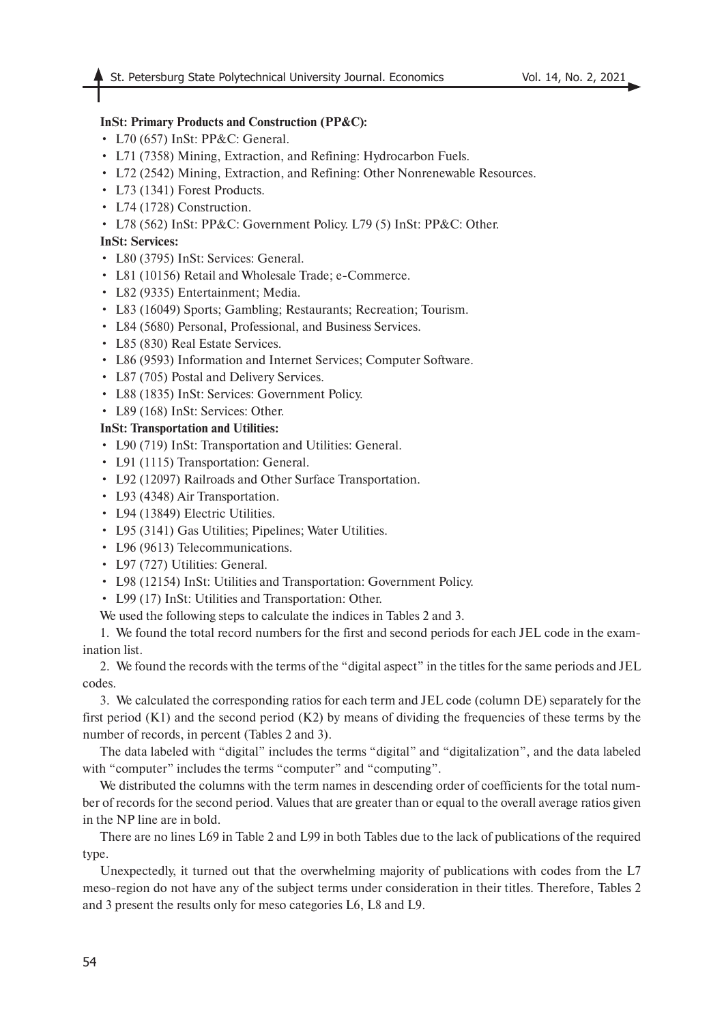## **InSt: Primary Products and Construction (PP&C):**

- L70 (657) InSt: PP&C: General.
- L71 (7358) Mining, Extraction, and Refining: Hydrocarbon Fuels.
- L72 (2542) Mining, Extraction, and Refining: Other Nonrenewable Resources.
- L73 (1341) Forest Products.
- L74 (1728) Construction.
- L78 (562) InSt: PP&C: Government Policy. L79 (5) InSt: PP&C: Other.

## **InSt: Services:**

- L80 (3795) InSt: Services: General.
- L81 (10156) Retail and Wholesale Trade; e-Commerce.
- L82 (9335) Entertainment; Media.
- L83 (16049) Sports; Gambling; Restaurants; Recreation; Tourism.
- L84 (5680) Personal, Professional, and Business Services.
- L85 (830) Real Estate Services.
- L86 (9593) Information and Internet Services; Computer Software.
- L87 (705) Postal and Delivery Services.
- L88 (1835) InSt: Services: Government Policy.
- L89 (168) InSt: Services: Other.

## **InSt: Transportation and Utilities:**

- L90 (719) InSt: Transportation and Utilities: General.
- L91 (1115) Transportation: General.
- L92 (12097) Railroads and Other Surface Transportation.
- L93 (4348) Air Transportation.
- L94 (13849) Electric Utilities.
- L95 (3141) Gas Utilities; Pipelines; Water Utilities.
- L96 (9613) Telecommunications.
- L97 (727) Utilities: General.
- L98 (12154) InSt: Utilities and Transportation: Government Policy.
- L99 (17) InSt: Utilities and Transportation: Other.
- We used the following steps to calculate the indices in Tables 2 and 3.

1. We found the total record numbers for the first and second periods for each JEL code in the examination list.

2. We found the records with the terms of the "digital aspect" in the titles for the same periods and JEL codes.

3. We calculated the corresponding ratios for each term and JEL code (column DE) separately for the first period (K1) and the second period (K2) by means of dividing the frequencies of these terms by the number of records, in percent (Tables 2 and 3).

The data labeled with "digital" includes the terms "digital" and "digitalization", and the data labeled with "computer" includes the terms "computer" and "computing".

We distributed the columns with the term names in descending order of coefficients for the total number of records for the second period. Values that are greater than or equal to the overall average ratios given in the NP line are in bold.

There are no lines L69 in Table 2 and L99 in both Tables due to the lack of publications of the required type.

Unexpectedly, it turned out that the overwhelming majority of publications with codes from the L7 meso-region do not have any of the subject terms under consideration in their titles. Therefore, Tables 2 and 3 present the results only for meso categories L6, L8 and L9.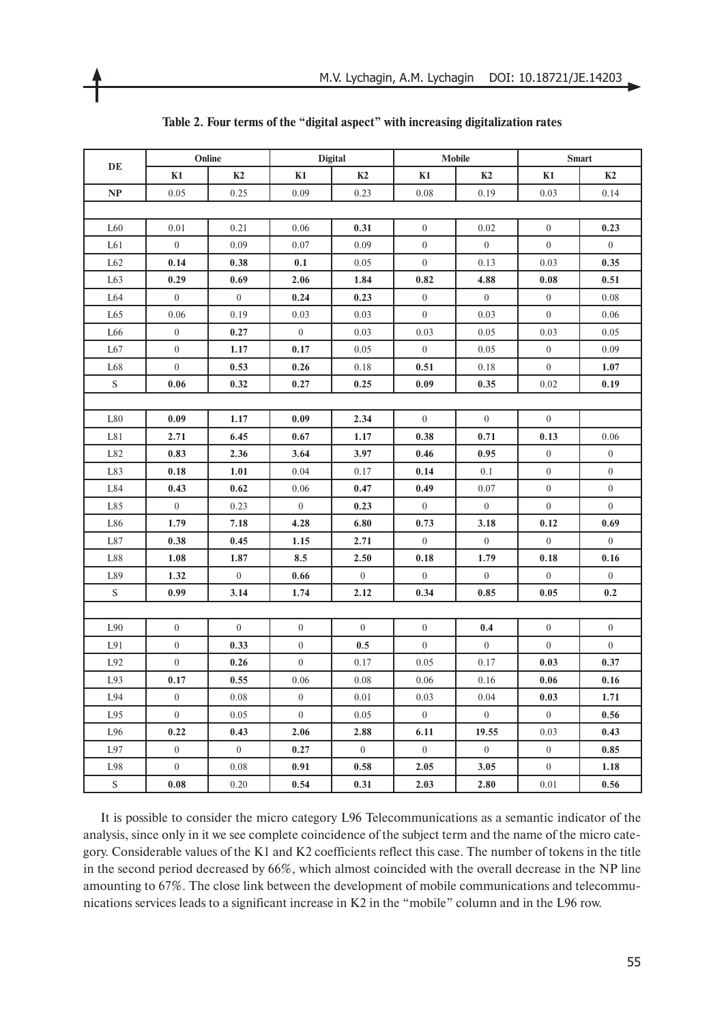| DE            | Online           |                  | <b>Digital</b>   |                  | <b>Mobile</b>    |                  | <b>Smart</b>     |                  |  |
|---------------|------------------|------------------|------------------|------------------|------------------|------------------|------------------|------------------|--|
|               | K1               | K2               | K1               | K2               | K1               | K2               | K1               | K2               |  |
| NP            | 0.05             | 0.25             | 0.09             | 0.23             | 0.08             | 0.19             | 0.03             | 0.14             |  |
|               |                  |                  |                  |                  |                  |                  |                  |                  |  |
| L60           | 0.01             | 0.21             | 0.06             | 0.31             | $\mathbf{0}$     | 0.02             | $\overline{0}$   | 0.23             |  |
| L61           | $\mathbf{0}$     | 0.09             | 0.07             | 0.09             | $\boldsymbol{0}$ | $\overline{0}$   | $\overline{0}$   | $\overline{0}$   |  |
| L62           | 0.14             | 0.38             | 0.1              | 0.05             | $\mathbf{0}$     | 0.13             | 0.03             | 0.35             |  |
| L63           | 0.29             | 0.69             | 2.06             | 1.84             | 0.82             | 4.88             | 0.08             | 0.51             |  |
| L64           | $\boldsymbol{0}$ | $\boldsymbol{0}$ | 0.24             | 0.23             | $\boldsymbol{0}$ | $\overline{0}$   | $\overline{0}$   | 0.08             |  |
| L65           | 0.06             | 0.19             | 0.03             | 0.03             | $\overline{0}$   | 0.03             | $\overline{0}$   | 0.06             |  |
| L66           | $\boldsymbol{0}$ | 0.27             | $\mathbf{0}$     | 0.03             | 0.03             | 0.05             | 0.03             | 0.05             |  |
| L67           | $\mathbf{0}$     | 1.17             | 0.17             | 0.05             | $\mathbf{0}$     | 0.05             | $\overline{0}$   | 0.09             |  |
| L68           | $\boldsymbol{0}$ | 0.53             | 0.26             | 0.18             | 0.51             | 0.18             | $\boldsymbol{0}$ | 1.07             |  |
| S             | 0.06             | 0.32             | 0.27             | 0.25             | 0.09             | 0.35             | 0.02             | 0.19             |  |
|               |                  |                  |                  |                  |                  |                  |                  |                  |  |
| L80           | 0.09             | 1.17             | 0.09             | 2.34             | $\boldsymbol{0}$ | $\overline{0}$   | $\overline{0}$   |                  |  |
| L81           | 2.71             | 6.45             | 0.67             | 1.17             | 0.38             | 0.71             | 0.13             | 0.06             |  |
| L82           | 0.83             | 2.36             | 3.64             | 3.97             | 0.46             | 0.95             | $\overline{0}$   | $\boldsymbol{0}$ |  |
| L83           | 0.18             | 1.01             | 0.04             | 0.17             | 0.14             | 0.1              | $\overline{0}$   | $\boldsymbol{0}$ |  |
| L84           | 0.43             | 0.62             | 0.06             | 0.47             | 0.49             | 0.07             | $\overline{0}$   | $\boldsymbol{0}$ |  |
| L85           | $\mathbf{0}$     | 0.23             | $\boldsymbol{0}$ | 0.23             | $\mathbf{0}$     | $\overline{0}$   | $\boldsymbol{0}$ | $\overline{0}$   |  |
| L86           | 1.79             | 7.18             | 4.28             | 6.80             | 0.73             | 3.18             | 0.12             | 0.69             |  |
| L87           | 0.38             | 0.45             | 1.15             | 2.71             | $\boldsymbol{0}$ | $\overline{0}$   | $\overline{0}$   | $\overline{0}$   |  |
| L88           | 1.08             | 1.87             | 8.5              | 2.50             | 0.18             | 1.79             | 0.18             | 0.16             |  |
| L89           | 1.32             | $\boldsymbol{0}$ | 0.66             | $\overline{0}$   | $\mathbf{0}$     | $\boldsymbol{0}$ | $\boldsymbol{0}$ | $\overline{0}$   |  |
| ${\mathbf S}$ | 0.99             | 3.14             | 1.74             | 2.12             | 0.34             | 0.85             | 0.05             | 0.2              |  |
|               |                  |                  |                  |                  |                  |                  |                  |                  |  |
| L90           | $\boldsymbol{0}$ | $\mathbf{0}$     | $\boldsymbol{0}$ | $\overline{0}$   | $\boldsymbol{0}$ | 0.4              | $\overline{0}$   | $\boldsymbol{0}$ |  |
| L91           | $\boldsymbol{0}$ | 0.33             | $\boldsymbol{0}$ | 0.5              | $\boldsymbol{0}$ | $\overline{0}$   | $\boldsymbol{0}$ | $\boldsymbol{0}$ |  |
| L92           | $\mathbf{0}$     | 0.26             | $\boldsymbol{0}$ | 0.17             | 0.05             | 0.17             | 0.03             | 0.37             |  |
| L93           | 0.17             | 0.55             | 0.06             | 0.08             | 0.06             | 0.16             | 0.06             | 0.16             |  |
| L94           | $\boldsymbol{0}$ | 0.08             | $\boldsymbol{0}$ | 0.01             | 0.03             | 0.04             | 0.03             | 1.71             |  |
| L95           | $\overline{0}$   | 0.05             | $\overline{0}$   | 0.05             | $\boldsymbol{0}$ | $\boldsymbol{0}$ | $\boldsymbol{0}$ | 0.56             |  |
| L96           | 0.22             | 0.43             | 2.06             | 2.88             | 6.11             | 19.55            | 0.03             | 0.43             |  |
| L97           | $\boldsymbol{0}$ | $\overline{0}$   | 0.27             | $\boldsymbol{0}$ | $\boldsymbol{0}$ | $\overline{0}$   | $\boldsymbol{0}$ | 0.85             |  |
| L98           | $\mathbf{0}$     | 0.08             | 0.91             | 0.58             | 2.05             | 3.05             | $\boldsymbol{0}$ | 1.18             |  |
| ${\bf S}$     | 0.08             | 0.20             | 0.54             | 0.31             | 2.03             | 2.80             | 0.01             | 0.56             |  |

### **Table 2. Four terms of the "digital aspect" with increasing digitalization rates**

It is possible to consider the micro category L96 Telecommunications as a semantic indicator of the analysis, since only in it we see complete coincidence of the subject term and the name of the micro category. Considerable values of the K1 and K2 coefficients reflect this case. The number of tokens in the title in the second period decreased by 66%, which almost coincided with the overall decrease in the NP line amounting to 67%. The close link between the development of mobile communications and telecommunications services leads to a significant increase in K2 in the "mobile" column and in the L96 row.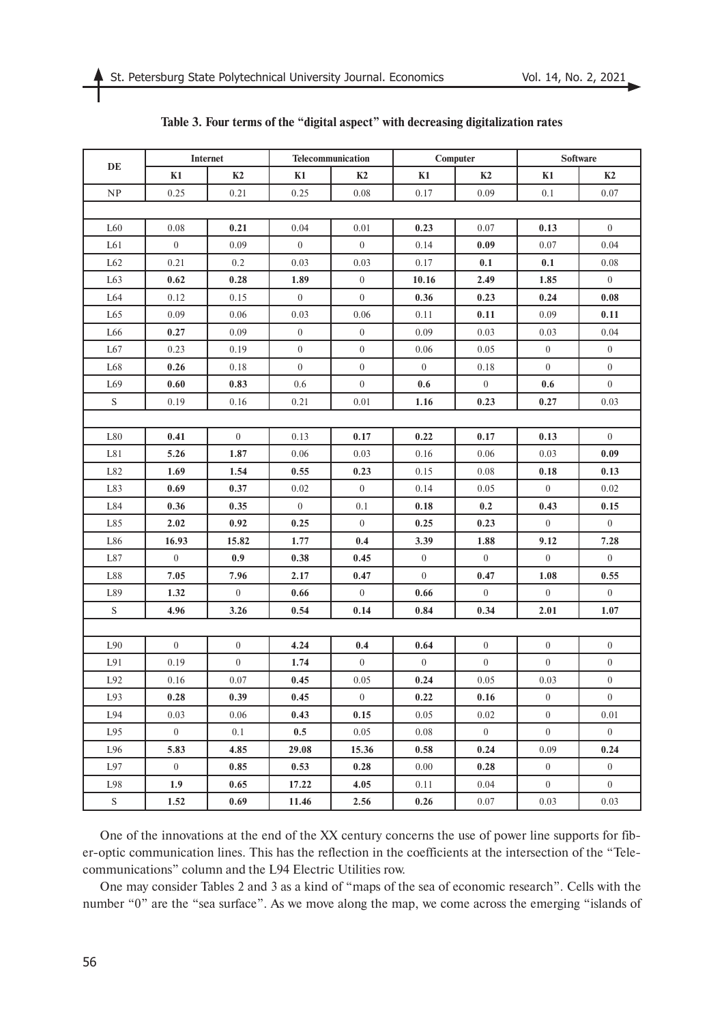| $\bf DE$        | Internet         |                  | Telecommunication |                  | Computer       |                  | <b>Software</b>  |                  |
|-----------------|------------------|------------------|-------------------|------------------|----------------|------------------|------------------|------------------|
|                 | K1               | K2               | K1                | K2               | K1             | K2               | K1               | K2               |
| NP              | 0.25             | 0.21             | 0.25              | 0.08             | 0.17           | 0.09             | 0.1              | 0.07             |
|                 |                  |                  |                   |                  |                |                  |                  |                  |
| L <sub>60</sub> | 0.08             | 0.21             | 0.04              | 0.01             | 0.23           | 0.07             | 0.13             | $\overline{0}$   |
| L61             | $\mathbf{0}$     | 0.09             | $\overline{0}$    | $\overline{0}$   | 0.14           | 0.09             | 0.07             | 0.04             |
| L62             | 0.21             | 0.2              | 0.03              | 0.03             | 0.17           | 0.1              | 0.1              | 0.08             |
| L63             | 0.62             | 0.28             | 1.89              | $\boldsymbol{0}$ | 10.16          | 2.49             | 1.85             | $\overline{0}$   |
| L64             | 0.12             | 0.15             | $\overline{0}$    | $\boldsymbol{0}$ | 0.36           | 0.23             | 0.24             | 0.08             |
| L65             | 0.09             | 0.06             | 0.03              | 0.06             | 0.11           | 0.11             | 0.09             | 0.11             |
| L66             | 0.27             | 0.09             | $\boldsymbol{0}$  | $\boldsymbol{0}$ | 0.09           | 0.03             | 0.03             | 0.04             |
| L67             | 0.23             | 0.19             | $\boldsymbol{0}$  | $\boldsymbol{0}$ | 0.06           | 0.05             | $\overline{0}$   | $\overline{0}$   |
| L68             | 0.26             | 0.18             | $\overline{0}$    | $\boldsymbol{0}$ | $\overline{0}$ | 0.18             | $\overline{0}$   | $\overline{0}$   |
| L69             | 0.60             | 0.83             | 0.6               | $\boldsymbol{0}$ | 0.6            | $\boldsymbol{0}$ | 0.6              | $\mathbf{0}$     |
| ${\bf S}$       | 0.19             | 0.16             | 0.21              | 0.01             | 1.16           | 0.23             | 0.27             | 0.03             |
|                 |                  |                  |                   |                  |                |                  |                  |                  |
| L80             | 0.41             | $\overline{0}$   | 0.13              | 0.17             | 0.22           | 0.17             | 0.13             | $\mathbf{0}$     |
| L81             | 5.26             | 1.87             | 0.06              | 0.03             | 0.16           | 0.06             | 0.03             | 0.09             |
| L82             | 1.69             | 1.54             | 0.55              | 0.23             | 0.15           | 0.08             | 0.18             | 0.13             |
| L83             | 0.69             | 0.37             | 0.02              | $\boldsymbol{0}$ | 0.14           | 0.05             | $\boldsymbol{0}$ | 0.02             |
| L84             | 0.36             | 0.35             | $\boldsymbol{0}$  | 0.1              | 0.18           | 0.2              | 0.43             | 0.15             |
| L85             | 2.02             | 0.92             | 0.25              | $\overline{0}$   | 0.25           | 0.23             | $\overline{0}$   | $\overline{0}$   |
| L86             | 16.93            | 15.82            | 1.77              | 0.4              | 3.39           | 1.88             | 9.12             | 7.28             |
| L87             | $\boldsymbol{0}$ | 0.9              | 0.38              | 0.45             | $\overline{0}$ | $\boldsymbol{0}$ | $\boldsymbol{0}$ | $\overline{0}$   |
| L88             | 7.05             | 7.96             | 2.17              | 0.47             | $\overline{0}$ | 0.47             | 1.08             | 0.55             |
| L89             | 1.32             | $\overline{0}$   | 0.66              | $\overline{0}$   | 0.66           | $\overline{0}$   | $\overline{0}$   | $\overline{0}$   |
| ${\bf S}$       | 4.96             | 3.26             | 0.54              | 0.14             | 0.84           | 0.34             | 2.01             | 1.07             |
|                 |                  |                  |                   |                  |                |                  |                  |                  |
| L90             | $\mathbf{0}$     | $\boldsymbol{0}$ | 4.24              | 0.4              | 0.64           | $\overline{0}$   | $\mathbf{0}$     | $\boldsymbol{0}$ |
| L91             | 0.19             | $\overline{0}$   | 1.74              | $\boldsymbol{0}$ | $\overline{0}$ | $\mathbf{0}$     | $\boldsymbol{0}$ | $\boldsymbol{0}$ |
| L92             | 0.16             | 0.07             | 0.45              | 0.05             | 0.24           | 0.05             | 0.03             | $\boldsymbol{0}$ |
| L93             | 0.28             | 0.39             | 0.45              | $\theta$         | 0.22           | 0.16             | $\theta$         | $\theta$         |
| L94             | 0.03             | 0.06             | 0.43              | 0.15             | 0.05           | 0.02             | $\overline{0}$   | 0.01             |
| L95             | $\overline{0}$   | 0.1              | 0.5               | 0.05             | 0.08           | $\overline{0}$   | $\boldsymbol{0}$ | $\overline{0}$   |
| L96             | 5.83             | 4.85             | 29.08             | 15.36            | 0.58           | 0.24             | 0.09             | 0.24             |
| L97             | $\overline{0}$   | 0.85             | 0.53              | 0.28             | $0.00\,$       | 0.28             | $\overline{0}$   | $\overline{0}$   |
| L98             | 1.9 <sup>°</sup> | 0.65             | 17.22             | 4.05             | 0.11           | 0.04             | $\overline{0}$   | $\overline{0}$   |
| ${\bf S}$       | 1.52             | 0.69             | 11.46             | 2.56             | 0.26           | 0.07             | 0.03             | 0.03             |

# **Table 3. Four terms of the "digital aspect" with decreasing digitalization rates**

One of the innovations at the end of the XX century concerns the use of power line supports for fiber-optic communication lines. This has the reflection in the coefficients at the intersection of the "Telecommunications" column and the L94 Electric Utilities row.

One may consider Tables 2 and 3 as a kind of "maps of the sea of economic research". Cells with the number "0" are the "sea surface". As we move along the map, we come across the emerging "islands of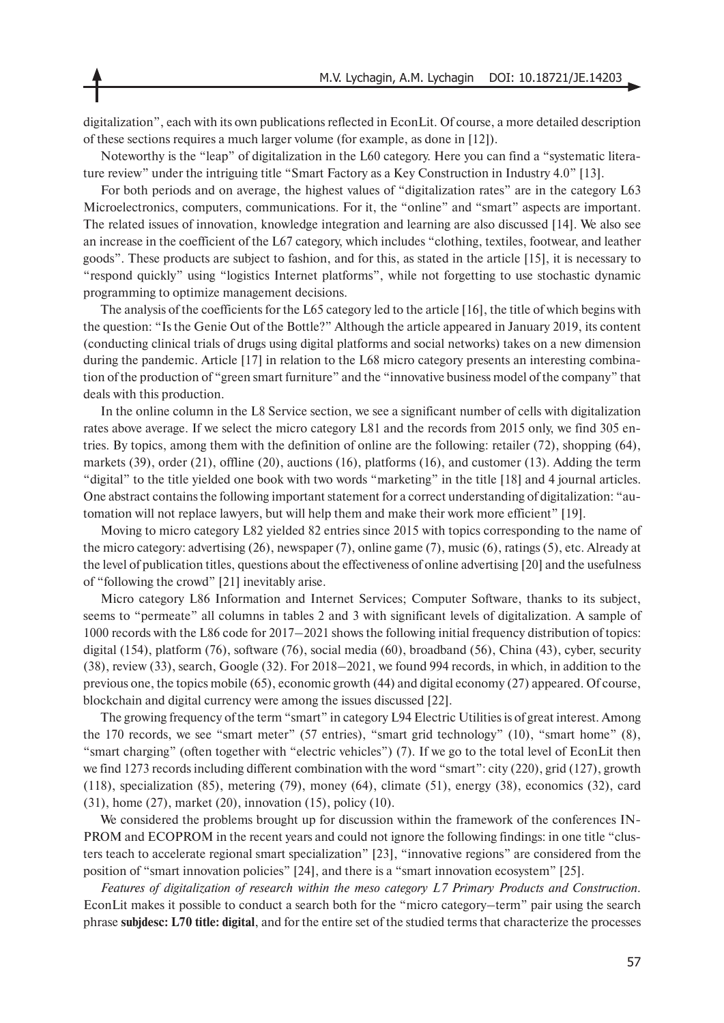digitalization", each with its own publications reflected in EconLit. Of course, a more detailed description of these sections requires a much larger volume (for example, as done in [12]).

Noteworthy is the "leap" of digitalization in the L60 category. Here you can find a "systematic literature review" under the intriguing title "Smart Factory as a Key Construction in Industry 4.0" [13].

For both periods and on average, the highest values of "digitalization rates" are in the category L63 Microelectronics, computers, communications. For it, the "online" and "smart" aspects are important. The related issues of innovation, knowledge integration and learning are also discussed [14]. We also see an increase in the coefficient of the L67 category, which includes "clothing, textiles, footwear, and leather goods". These products are subject to fashion, and for this, as stated in the article [15], it is necessary to "respond quickly" using "logistics Internet platforms", while not forgetting to use stochastic dynamic programming to optimize management decisions.

The analysis of the coefficients for the L65 category led to the article [16], the title of which begins with the question: "Is the Genie Out of the Bottle?" Although the article appeared in January 2019, its content (conducting clinical trials of drugs using digital platforms and social networks) takes on a new dimension during the pandemic. Article [17] in relation to the L68 micro category presents an interesting combination of the production of "green smart furniture" and the "innovative business model of the company" that deals with this production.

In the online column in the L8 Service section, we see a significant number of cells with digitalization rates above average. If we select the micro category L81 and the records from 2015 only, we find 305 entries. By topics, among them with the definition of online are the following: retailer (72), shopping (64), markets (39), order (21), offline (20), auctions (16), platforms (16), and customer (13). Adding the term "digital" to the title yielded one book with two words "marketing" in the title [18] and 4 journal articles. One abstract contains the following important statement for a correct understanding of digitalization: "automation will not replace lawyers, but will help them and make their work more efficient" [19].

Moving to micro category L82 yielded 82 entries since 2015 with topics corresponding to the name of the micro category: advertising (26), newspaper (7), online game (7), music (6), ratings (5), etc. Already at the level of publication titles, questions about the effectiveness of online advertising [20] and the usefulness of "following the crowd" [21] inevitably arise.

Micro category L86 Information and Internet Services; Computer Software, thanks to its subject, seems to "permeate" all columns in tables 2 and 3 with significant levels of digitalization. A sample of 1000 records with the L86 code for 2017–2021 shows the following initial frequency distribution of topics: digital (154), platform (76), software (76), social media (60), broadband (56), China (43), cyber, security (38), review (33), search, Google (32). For 2018–2021, we found 994 records, in which, in addition to the previous one, the topics mobile (65), economic growth (44) and digital economy (27) appeared. Of course, blockchain and digital currency were among the issues discussed [22].

The growing frequency of the term "smart" in category L94 Electric Utilities is of great interest. Among the 170 records, we see "smart meter" (57 entries), "smart grid technology" (10), "smart home" (8), "smart charging" (often together with "electric vehicles") (7). If we go to the total level of EconLit then we find 1273 records including different combination with the word "smart": city (220), grid (127), growth (118), specialization (85), metering (79), money (64), climate (51), energy (38), economics (32), card (31), home (27), market (20), innovation (15), policy (10).

We considered the problems brought up for discussion within the framework of the conferences IN-PROM and EСOPROM in the recent years and could not ignore the following findings: in one title "clusters teach to accelerate regional smart specialization" [23], "innovative regions" are considered from the position of "smart innovation policies" [24], and there is a "smart innovation ecosystem" [25].

*Features of digitalization of research within the meso category L7 Primary Products and Construction.*  EconLit makes it possible to conduct a search both for the "micro category–term" pair using the search phrase **subjdesc: L70 title: digital**, and for the entire set of the studied terms that characterize the processes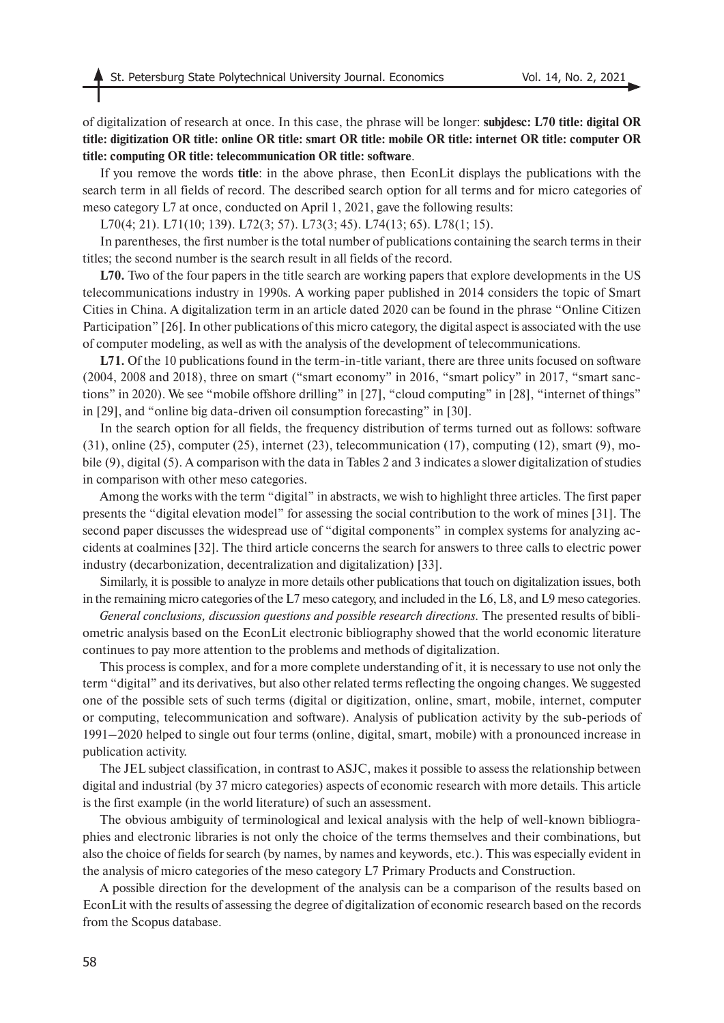of digitalization of research at once. In this case, the phrase will be longer: **subjdesc: L70 title: digital OR title: digitization OR title: online OR title: smart OR title: mobile OR title: internet OR title: computer OR title: computing OR title: telecommunication OR title: software**.

If you remove the words **title**: in the above phrase, then EconLit displays the publications with the search term in all fields of record. The described search option for all terms and for micro categories of meso category L7 at once, conducted on April 1, 2021, gave the following results:

L70(4; 21). L71(10; 139). L72(3; 57). L73(3; 45). L74(13; 65). L78(1; 15).

In parentheses, the first number is the total number of publications containing the search terms in their titles; the second number is the search result in all fields of the record.

**L70.** Two of the four papers in the title search are working papers that explore developments in the US telecommunications industry in 1990s. A working paper published in 2014 considers the topic of Smart Cities in China. A digitalization term in an article dated 2020 can be found in the phrase "Online Citizen Participation" [26]. In other publications of this micro category, the digital aspect is associated with the use of computer modeling, as well as with the analysis of the development of telecommunications.

**L71.** Of the 10 publications found in the term-in-title variant, there are three units focused on software (2004, 2008 and 2018), three on smart ("smart economy" in 2016, "smart policy" in 2017, "smart sanctions" in 2020). We see "mobile offshore drilling" in [27], "cloud computing" in [28], "internet of things" in [29], and "online big data-driven oil consumption forecasting" in [30].

In the search option for all fields, the frequency distribution of terms turned out as follows: software (31), online (25), computer (25), internet (23), telecommunication (17), computing (12), smart (9), mobile (9), digital (5). A comparison with the data in Tables 2 and 3 indicates a slower digitalization of studies in comparison with other meso categories.

Among the works with the term "digital" in abstracts, we wish to highlight three articles. The first paper presents the "digital elevation model" for assessing the social contribution to the work of mines [31]. The second paper discusses the widespread use of "digital components" in complex systems for analyzing accidents at coalmines [32]. The third article concerns the search for answers to three calls to electric power industry (decarbonization, decentralization and digitalization) [33].

Similarly, it is possible to analyze in more details other publications that touch on digitalization issues, both in the remaining micro categories of the L7 meso category, and included in the L6, L8, and L9 meso categories.

*General conclusions, discussion questions and possible research directions.* The presented results of bibliometric analysis based on the EconLit electronic bibliography showed that the world economic literature continues to pay more attention to the problems and methods of digitalization.

This process is complex, and for a more complete understanding of it, it is necessary to use not only the term "digital" and its derivatives, but also other related terms reflecting the ongoing changes. We suggested one of the possible sets of such terms (digital or digitization, online, smart, mobile, internet, computer or computing, telecommunication and software). Analysis of publication activity by the sub-periods of 1991–2020 helped to single out four terms (online, digital, smart, mobile) with a pronounced increase in publication activity.

The JEL subject classification, in contrast to ASJC, makes it possible to assess the relationship between digital and industrial (by 37 micro categories) aspects of economic research with more details. This article is the first example (in the world literature) of such an assessment.

The obvious ambiguity of terminological and lexical analysis with the help of well-known bibliographies and electronic libraries is not only the choice of the terms themselves and their combinations, but also the choice of fields for search (by names, by names and keywords, etc.). This was especially evident in the analysis of micro categories of the meso category L7 Primary Products and Construction.

A possible direction for the development of the analysis can be a comparison of the results based on EconLit with the results of assessing the degree of digitalization of economic research based on the records from the Scopus database.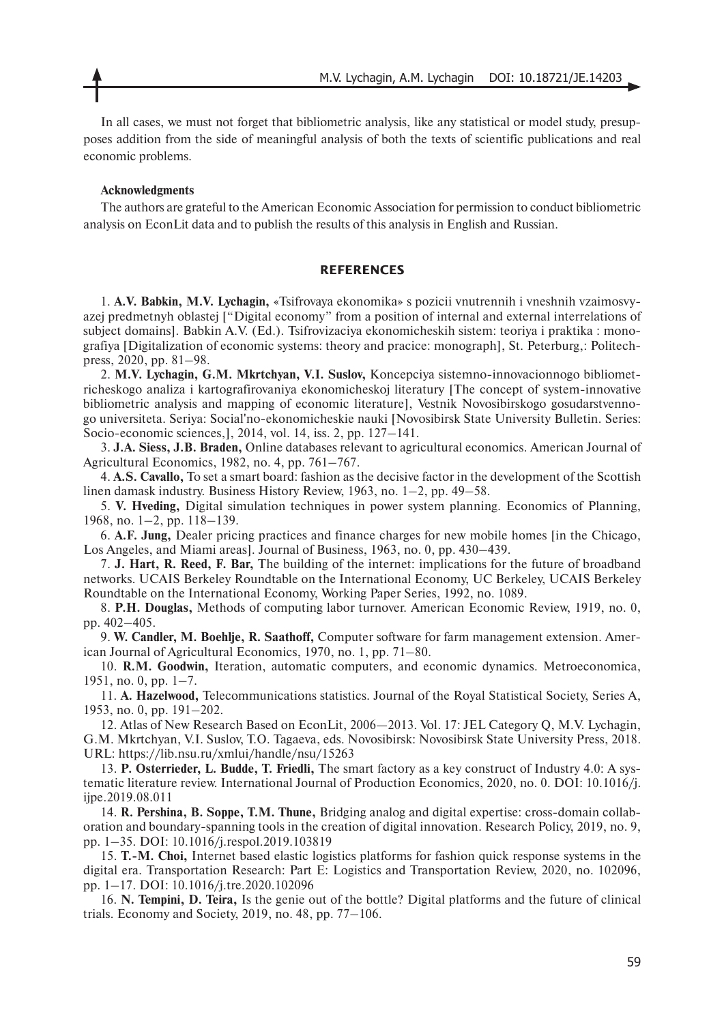In all cases, we must not forget that bibliometric analysis, like any statistical or model study, presupposes addition from the side of meaningful analysis of both the texts of scientific publications and real economic problems.

#### **Acknowledgments**

The authors are grateful to the American Economic Association for permission to conduct bibliometric analysis on EconLit data and to publish the results of this analysis in English and Russian.

### **REFERENCES**

1. **A.V. Babkin, M.V. Lychagin,** «Tsifrovaya ekonomika» s pozicii vnutrennih i vneshnih vzaimosvyazej predmetnyh oblastej ["Digital economy" from a position of internal and external interrelations of subject domains]. Babkin A.V. (Ed.). Tsifrovizaciya ekonomicheskih sistem: teoriya i praktika : monografiya [Digitalization of economic systems: theory and praciсe: monograph], St. Peterburg,: Politechpress, 2020, pp. 81–98.

2. **M.V. Lychagin, G.M. Mkrtchyan, V.I. Suslov,** Koncepciya sistemno-innovacionnogo bibliometricheskogo analiza i kartografirovaniya ekonomicheskoj literatury [The concept of system-innovative bibliometric analysis and mapping of economic literature], Vestnik Novosibirskogo gosudarstvennogo universiteta. Seriya: Social'no-ekonomicheskie nauki [Novosibirsk State University Bulletin. Series: Socio-economic sciences,], 2014, vol. 14, iss. 2, pp. 127–141.

3. **J.A. Siess, J.B. Braden,** Online databases relevant to agricultural economics. American Journal of Agricultural Economics, 1982, no. 4, pp. 761–767.

4. **A.S. Cavallo,** To set a smart board: fashion as the decisive factor in the development of the Scottish linen damask industry. Business History Review, 1963, no. 1–2, pp. 49–58.

5. **V. Hveding,** Digital simulation techniques in power system planning. Economics of Planning, 1968, no. 1–2, pp. 118–139.

6. **A.F. Jung,** Dealer pricing practices and finance charges for new mobile homes [in the Chicago, Los Angeles, and Miami areas]. Journal of Business, 1963, no. 0, pp. 430–439.

7. **J. Hart, R. Reed, F. Bar,** The building of the internet: implications for the future of broadband networks. UCAIS Berkeley Roundtable on the International Economy, UC Berkeley, UCAIS Berkeley Roundtable on the International Economy, Working Paper Series, 1992, no. 1089.

8. **P.H. Douglas,** Methods of computing labor turnover. American Economic Review, 1919, no. 0, pp. 402–405.

9. **W. Candler, M. Boehlje, R. Saathoff,** Computer software for farm management extension. American Journal of Agricultural Economics, 1970, no. 1, pp. 71–80.

10. **R.M. Goodwin,** Iteration, automatic computers, and economic dynamics. Metroeconomica, 1951, no. 0, pp. 1–7.

11. **A. Hazelwood,** Telecommunications statistics. Journal of the Royal Statistical Society, Series A, 1953, no. 0, pp. 191–202.

12. Atlas of New Research Based on EconLit, 2006—2013. Vol. 17: JEL Category Q, M.V. Lychagin, G.M. Mkrtchyan, V.I. Suslov, T.O. Tagaeva, eds. Novosibirsk: Novosibirsk State University Press, 2018. URL: https://lib.nsu.ru/xmlui/handle/nsu/15263

13. **P. Osterrieder, L. Budde, T. Friedli,** The smart factory as a key construct of Industry 4.0: A systematic literature review. International Journal of Production Economics, 2020, no. 0. DOI: 10.1016/j. ijpe.2019.08.011

14. **R. Pershina, B. Soppe, T.M. Thune,** Bridging analog and digital expertise: cross-domain collaboration and boundary-spanning tools in the creation of digital innovation. Research Policy, 2019, no. 9, pp. 1–35. DOI: 10.1016/j.respol.2019.103819

15. **T.-M. Choi,** Internet based elastic logistics platforms for fashion quick response systems in the digital era. Transportation Research: Part E: Logistics and Transportation Review, 2020, no. 102096, pp. 1–17. DOI: 10.1016/j.tre.2020.102096

16. **N. Tempini, D. Teira,** Is the genie out of the bottle? Digital platforms and the future of clinical trials. Economy and Society, 2019, no. 48, pp. 77–106.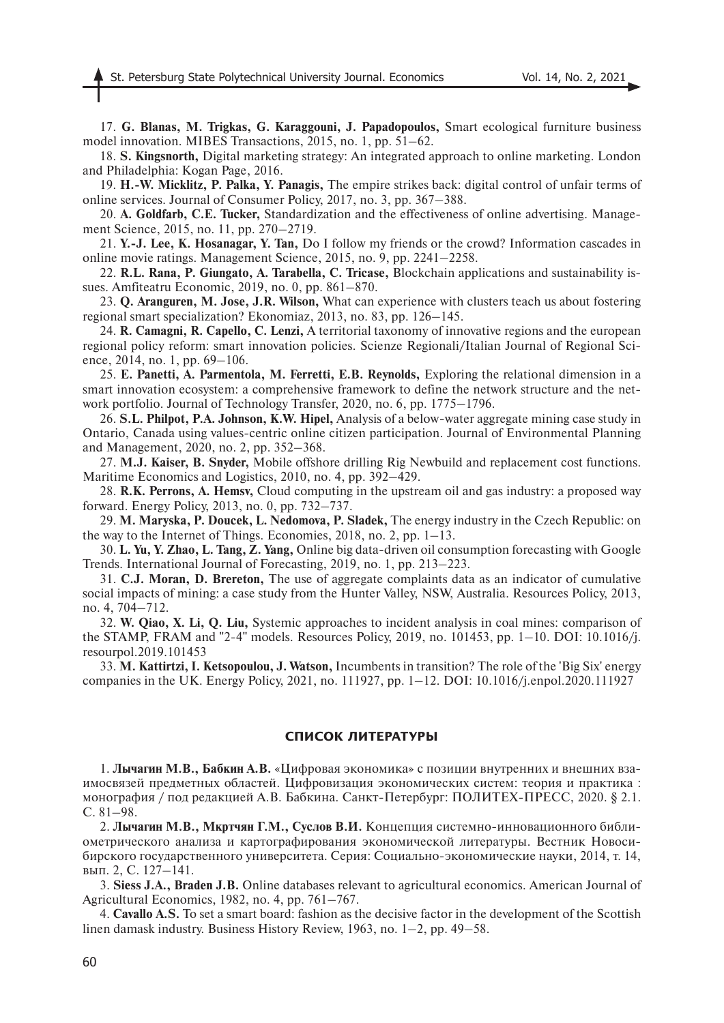17. **G. Blanas, M. Trigkas, G. Karaggouni, J. Papadopoulos,** Smart ecological furniture business model innovation. MIBES Transactions, 2015, no. 1, pp. 51–62.

18. **S. Kingsnorth,** Digital marketing strategy: An integrated approach to online marketing. London and Philadelphia: Kogan Page, 2016.

19. **H.-W. Micklitz, P. Palka, Y. Panagis,** The empire strikes back: digital control of unfair terms of online services. Journal of Consumer Policy, 2017, no. 3, pp. 367–388.

20. **A. Goldfarb, C.E. Tucker,** Standardization and the effectiveness of online advertising. Management Science, 2015, no. 11, pp. 270–2719.

21. **Y.-J. Lee, K. Hosanagar, Y. Tan,** Do I follow my friends or the crowd? Information cascades in online movie ratings. Management Science, 2015, no. 9, pp. 2241–2258.

22. **R.L. Rana, P. Giungato, A. Tarabella, C. Tricase,** Blockchain applications and sustainability issues. Amfiteatru Economic, 2019, no. 0, pp. 861–870.

23. **Q. Aranguren, M. Jose, J.R. Wilson,** What can experience with clusters teach us about fostering regional smart specialization? Ekonomiaz, 2013, no. 83, pp. 126–145.

24. **R. Camagni, R. Capello, C. Lenzi,** A territorial taxonomy of innovative regions and the european regional policy reform: smart innovation policies. Scienze Regionali/Italian Journal of Regional Science, 2014, no. 1, pp. 69–106.

25. **E. Panetti, A. Parmentola, M. Ferretti, E.B. Reynolds,** Exploring the relational dimension in a smart innovation ecosystem: a comprehensive framework to define the network structure and the network portfolio. Journal of Technology Transfer, 2020, no. 6, pp. 1775–1796.

26. **S.L. Philpot, P.A. Johnson, K.W. Hipel,** Analysis of a below-water aggregate mining case study in Ontario, Canada using values-centric online citizen participation. Journal of Environmental Planning and Management, 2020, no. 2, pp. 352–368.

27. **M.J. Kaiser, B. Snyder,** Mobile offshore drilling Rig Newbuild and replacement cost functions. Maritime Economics and Logistics, 2010, no. 4, pp. 392–429.

28. **R.K. Perrons, A. Hemsv,** Cloud computing in the upstream oil and gas industry: a proposed way forward. Energy Policy, 2013, no. 0, pp. 732–737.

29. **M. Maryska, P. Doucek, L. Nedomova, P. Sladek,** The energy industry in the Czech Republic: on the way to the Internet of Things. Economies, 2018, no. 2, pp. 1–13.

30. **L. Yu, Y. Zhao, L. Tang, Z. Yang,** Online big data-driven oil consumption forecasting with Google Trends. International Journal of Forecasting, 2019, no. 1, pp. 213–223.

31. **C.J. Moran, D. Brereton,** The use of aggregate complaints data as an indicator of cumulative social impacts of mining: a case study from the Hunter Valley, NSW, Australia. Resources Policy, 2013, no. 4, 704–712.

32. **W. Qiao, X. Li, Q. Liu,** Systemic approaches to incident analysis in coal mines: comparison of the STAMP, FRAM and "2-4" models. Resources Policy, 2019, no. 101453, pp. 1–10. DOI: 10.1016/j. resourpol.2019.101453

33. **M. Kattirtzi, I. Ketsopoulou, J. Watson,** Incumbents in transition? The role of the 'Big Six' energy companies in the UK. Energy Policy, 2021, no. 111927, pp. 1–12. DOI: 10.1016/j.enpol.2020.111927

### **СПИСОК ЛИТЕРАТУРЫ**

1. **Лычагин М.В., Бабкин А.В.** «Цифровая экономика» с позиции внутренних и внешних взаимосвязей предметных областей. Цифровизация экономических систем: теория и практика : монография / под редакцией А.В. Бабкина. Санкт-Петербург: ПОЛИТЕХ-ПРЕСС, 2020. § 2.1. С. 81–98.

2. **Лычагин М.В., Мкртчян Г.М., Суслов В.И.** Концепция системно-инновационного библиометрического анализа и картографирования экономической литературы. Вестник Новосибирского государственного университета. Серия: Социально-экономические науки, 2014, т. 14, вып. 2, С. 127–141.

3. **Siess J.A., Braden J.B.** Online databases relevant to agricultural economics. American Journal of Agricultural Economics, 1982, no. 4, pp. 761–767.

4. **Cavallo A.S.** To set a smart board: fashion as the decisive factor in the development of the Scottish linen damask industry. Business History Review, 1963, no. 1–2, pp. 49–58.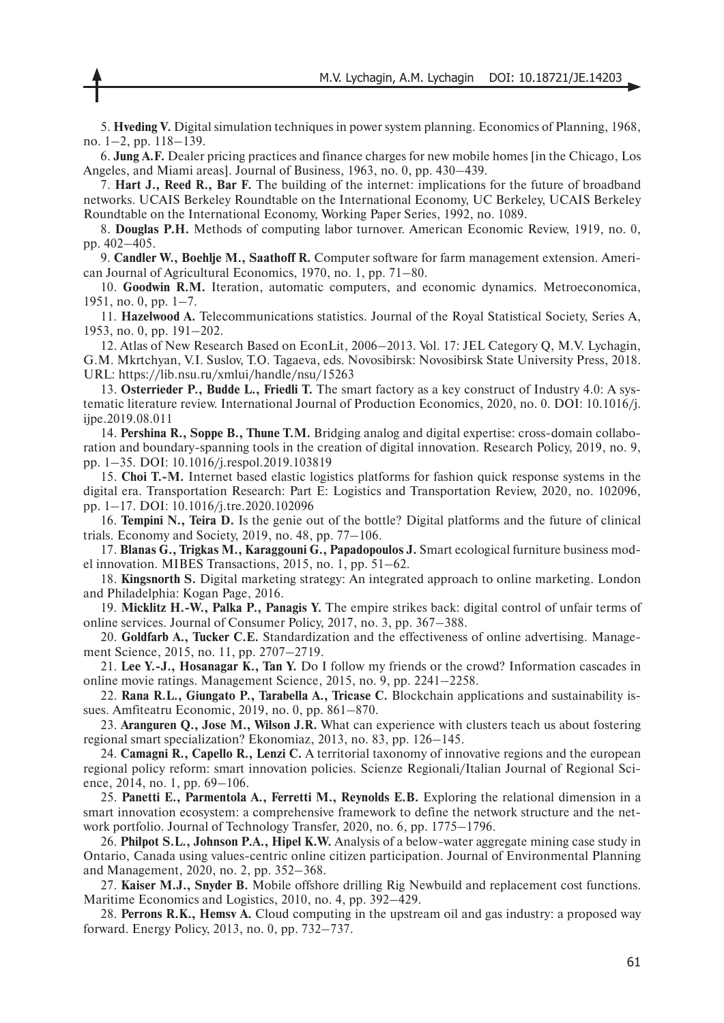5. **Hveding V.** Digital simulation techniques in power system planning. Economics of Planning, 1968, no. 1–2, pp. 118–139.

6. **Jung A.F.** Dealer pricing practices and finance charges for new mobile homes [in the Chicago, Los Angeles, and Miami areas]. Journal of Business, 1963, no. 0, pp. 430–439.

7. **Hart J., Reed R., Bar F.** The building of the internet: implications for the future of broadband networks. UCAIS Berkeley Roundtable on the International Economy, UC Berkeley, UCAIS Berkeley Roundtable on the International Economy, Working Paper Series, 1992, no. 1089.

8. **Douglas P.H.** Methods of computing labor turnover. American Economic Review, 1919, no. 0, pp. 402–405.

9. **Candler W., Boehlje M., Saathoff R.** Computer software for farm management extension. American Journal of Agricultural Economics, 1970, no. 1, pp. 71–80.

10. **Goodwin R.M.** Iteration, automatic computers, and economic dynamics. Metroeconomica, 1951, no. 0, pp. 1–7.

11. **Hazelwood A.** Telecommunications statistics. Journal of the Royal Statistical Society, Series A, 1953, no. 0, pp. 191–202.

12. Atlas of New Research Based on EconLit, 2006–2013. Vol. 17: JEL Category Q, M.V. Lychagin, G.M. Mkrtchyan, V.I. Suslov, T.О. Tagaeva, eds. Novosibirsk: Novosibirsk State University Press, 2018. URL: https://lib.nsu.ru/xmlui/handle/nsu/15263

13. **Osterrieder P., Budde L., Friedli T.** The smart factory as a key construct of Industry 4.0: A systematic literature review. International Journal of Production Economics, 2020, no. 0. DOI: 10.1016/j. ijpe.2019.08.011

14. **Pershina R., Soppe B., Thune T.M.** Bridging analog and digital expertise: cross-domain collaboration and boundary-spanning tools in the creation of digital innovation. Research Policy, 2019, no. 9, pp. 1–35. DOI: 10.1016/j.respol.2019.103819

15. **Choi T.-M.** Internet based elastic logistics platforms for fashion quick response systems in the digital era. Transportation Research: Part E: Logistics and Transportation Review, 2020, no. 102096, pp. 1–17. DOI: 10.1016/j.tre.2020.102096

16. **Tempini N., Teira D.** Is the genie out of the bottle? Digital platforms and the future of clinical trials. Economy and Society, 2019, no. 48, pp. 77–106.

17. **Blanas G., Trigkas M., Karaggouni G., Papadopoulos J.** Smart ecological furniture business model innovation. MIBES Transactions, 2015, no. 1, pp. 51–62.

18. **Kingsnorth S.** Digital marketing strategy: An integrated approach to online marketing. London and Philadelphia: Kogan Page, 2016.

19. **Micklitz H.-W., Palka P., Panagis Y.** The empire strikes back: digital control of unfair terms of online services. Journal of Consumer Policy, 2017, no. 3, pp. 367–388.

20. **Goldfarb A., Tucker C.E.** Standardization and the effectiveness of online advertising. Management Science, 2015, no. 11, pp. 2707–2719.

21. **Lee Y.-J., Hosanagar K., Tan Y.** Do I follow my friends or the crowd? Information cascades in online movie ratings. Management Science, 2015, no. 9, pp. 2241–2258.

22. **Rana R.L., Giungato P., Tarabella A., Tricase C.** Blockchain applications and sustainability issues. Amfiteatru Economic, 2019, no. 0, pp. 861–870.

23. **Aranguren Q., Jose M., Wilson J.R.** What can experience with clusters teach us about fostering regional smart specialization? Ekonomiaz, 2013, no. 83, pp. 126–145.

24. **Camagni R., Capello R., Lenzi C.** A territorial taxonomy of innovative regions and the european regional policy reform: smart innovation policies. Scienze Regionali/Italian Journal of Regional Science, 2014, no. 1, pp. 69–106.

25. **Panetti E., Parmentola A., Ferretti M., Reynolds E.B.** Exploring the relational dimension in a smart innovation ecosystem: a comprehensive framework to define the network structure and the network portfolio. Journal of Technology Transfer, 2020, no. 6, pp. 1775–1796.

26. **Philpot S.L., Johnson P.A., Hipel K.W.** Analysis of a below-water aggregate mining case study in Ontario, Canada using values-centric online citizen participation. Journal of Environmental Planning and Management, 2020, no. 2, pp. 352–368.

27. **Kaiser M.J., Snyder B.** Mobile offshore drilling Rig Newbuild and replacement cost functions. Maritime Economics and Logistics, 2010, no. 4, pp. 392–429.

28. **Perrons R.K., Hemsv A.** Cloud computing in the upstream oil and gas industry: a proposed way forward. Energy Policy, 2013, no. 0, pp. 732–737.